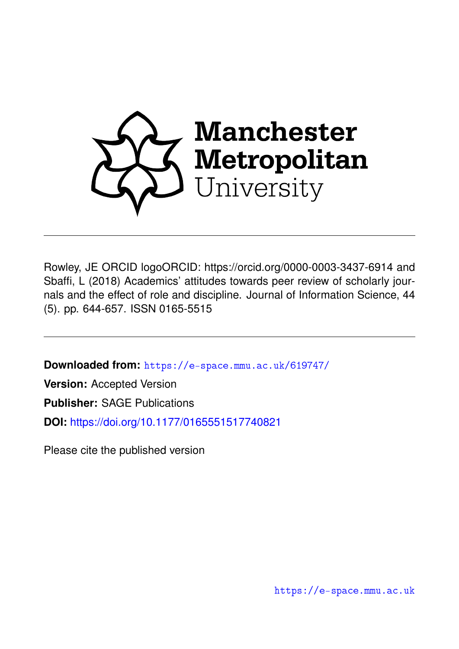

Rowley, JE ORCID logoORCID: https://orcid.org/0000-0003-3437-6914 and Sbaffi, L (2018) Academics' attitudes towards peer review of scholarly journals and the effect of role and discipline. Journal of Information Science, 44 (5). pp. 644-657. ISSN 0165-5515

**Downloaded from:** <https://e-space.mmu.ac.uk/619747/>

**Version:** Accepted Version

**Publisher:** SAGE Publications

**DOI:** <https://doi.org/10.1177/0165551517740821>

Please cite the published version

<https://e-space.mmu.ac.uk>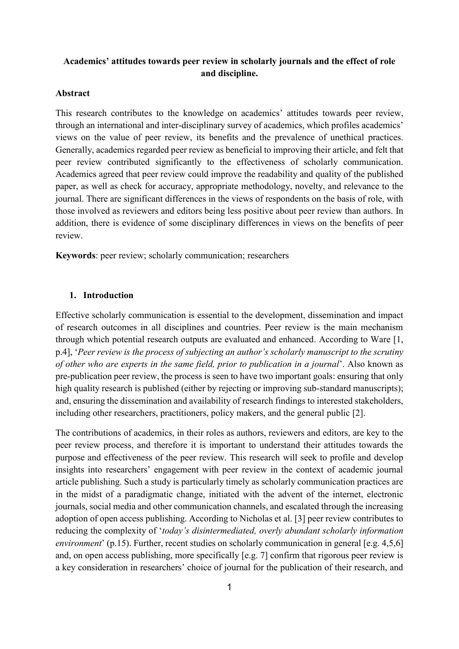## **Academics' attitudes towards peer review in scholarly journals and the effect of role and discipline.**

#### **Abstract**

This research contributes to the knowledge on academics' attitudes towards peer review, through an international and inter-disciplinary survey of academics, which profiles academics' views on the value of peer review, its benefits and the prevalence of unethical practices. Generally, academics regarded peer review as beneficial to improving their article, and felt that peer review contributed significantly to the effectiveness of scholarly communication. Academics agreed that peer review could improve the readability and quality of the published paper, as well as check for accuracy, appropriate methodology, novelty, and relevance to the journal. There are significant differences in the views of respondents on the basis of role, with those involved as reviewers and editors being less positive about peer review than authors. In addition, there is evidence of some disciplinary differences in views on the benefits of peer review.

**Keywords**: peer review; scholarly communication; researchers

#### **1. Introduction**

Effective scholarly communication is essential to the development, dissemination and impact of research outcomes in all disciplines and countries. Peer review is the main mechanism through which potential research outputs are evaluated and enhanced. According to Ware [1, p.4], '*Peer review is the process of subjecting an author's scholarly manuscript to the scrutiny of other who are experts in the same field, prior to publication in a journal*'. Also known as pre-publication peer review, the process is seen to have two important goals: ensuring that only high quality research is published (either by rejecting or improving sub-standard manuscripts); and, ensuring the dissemination and availability of research findings to interested stakeholders, including other researchers, practitioners, policy makers, and the general public [2].

The contributions of academics, in their roles as authors, reviewers and editors, are key to the peer review process, and therefore it is important to understand their attitudes towards the purpose and effectiveness of the peer review. This research will seek to profile and develop insights into researchers' engagement with peer review in the context of academic journal article publishing. Such a study is particularly timely as scholarly communication practices are in the midst of a paradigmatic change, initiated with the advent of the internet, electronic journals, social media and other communication channels, and escalated through the increasing adoption of open access publishing. According to Nicholas et al. [3] peer review contributes to reducing the complexity of '*today's disintermediated, overly abundant scholarly information environment*' (p.15). Further, recent studies on scholarly communication in general [e.g. 4,5,6] and, on open access publishing, more specifically [e.g. 7] confirm that rigorous peer review is a key consideration in researchers' choice of journal for the publication of their research, and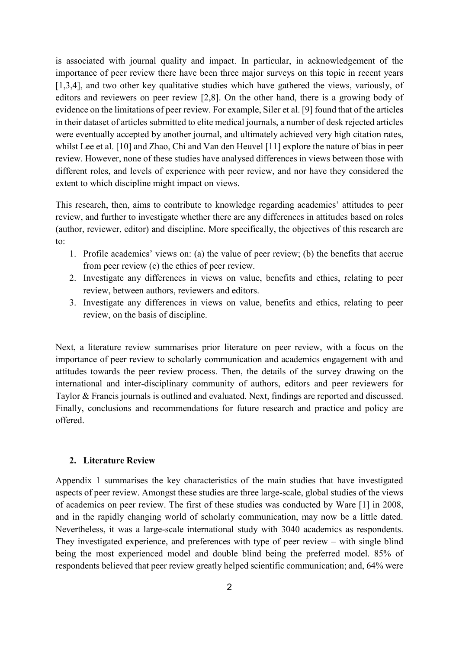is associated with journal quality and impact. In particular, in acknowledgement of the importance of peer review there have been three major surveys on this topic in recent years [1,3,4], and two other key qualitative studies which have gathered the views, variously, of editors and reviewers on peer review [2,8]. On the other hand, there is a growing body of evidence on the limitations of peer review. For example, Siler et al. [9] found that of the articles in their dataset of articles submitted to elite medical journals, a number of desk rejected articles were eventually accepted by another journal, and ultimately achieved very high citation rates, whilst Lee et al. [10] and Zhao, Chi and Van den Heuvel [11] explore the nature of bias in peer review. However, none of these studies have analysed differences in views between those with different roles, and levels of experience with peer review, and nor have they considered the extent to which discipline might impact on views.

This research, then, aims to contribute to knowledge regarding academics' attitudes to peer review, and further to investigate whether there are any differences in attitudes based on roles (author, reviewer, editor) and discipline. More specifically, the objectives of this research are to:

- 1. Profile academics' views on: (a) the value of peer review; (b) the benefits that accrue from peer review (c) the ethics of peer review.
- 2. Investigate any differences in views on value, benefits and ethics, relating to peer review, between authors, reviewers and editors.
- 3. Investigate any differences in views on value, benefits and ethics, relating to peer review, on the basis of discipline.

Next, a literature review summarises prior literature on peer review, with a focus on the importance of peer review to scholarly communication and academics engagement with and attitudes towards the peer review process. Then, the details of the survey drawing on the international and inter-disciplinary community of authors, editors and peer reviewers for Taylor & Francis journals is outlined and evaluated. Next, findings are reported and discussed. Finally, conclusions and recommendations for future research and practice and policy are offered.

### **2. Literature Review**

Appendix 1 summarises the key characteristics of the main studies that have investigated aspects of peer review. Amongst these studies are three large-scale, global studies of the views of academics on peer review. The first of these studies was conducted by Ware [1] in 2008, and in the rapidly changing world of scholarly communication, may now be a little dated. Nevertheless, it was a large-scale international study with 3040 academics as respondents. They investigated experience, and preferences with type of peer review – with single blind being the most experienced model and double blind being the preferred model. 85% of respondents believed that peer review greatly helped scientific communication; and, 64% were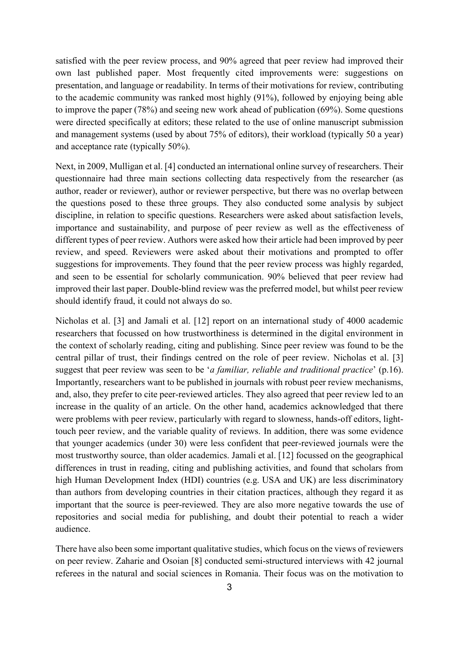satisfied with the peer review process, and 90% agreed that peer review had improved their own last published paper. Most frequently cited improvements were: suggestions on presentation, and language or readability. In terms of their motivations for review, contributing to the academic community was ranked most highly (91%), followed by enjoying being able to improve the paper (78%) and seeing new work ahead of publication (69%). Some questions were directed specifically at editors; these related to the use of online manuscript submission and management systems (used by about 75% of editors), their workload (typically 50 a year) and acceptance rate (typically 50%).

Next, in 2009, Mulligan et al. [4] conducted an international online survey of researchers. Their questionnaire had three main sections collecting data respectively from the researcher (as author, reader or reviewer), author or reviewer perspective, but there was no overlap between the questions posed to these three groups. They also conducted some analysis by subject discipline, in relation to specific questions. Researchers were asked about satisfaction levels, importance and sustainability, and purpose of peer review as well as the effectiveness of different types of peer review. Authors were asked how their article had been improved by peer review, and speed. Reviewers were asked about their motivations and prompted to offer suggestions for improvements. They found that the peer review process was highly regarded, and seen to be essential for scholarly communication. 90% believed that peer review had improved their last paper. Double-blind review was the preferred model, but whilst peer review should identify fraud, it could not always do so.

Nicholas et al. [3] and Jamali et al. [12] report on an international study of 4000 academic researchers that focussed on how trustworthiness is determined in the digital environment in the context of scholarly reading, citing and publishing. Since peer review was found to be the central pillar of trust, their findings centred on the role of peer review. Nicholas et al. [3] suggest that peer review was seen to be '*a familiar, reliable and traditional practice*' (p.16). Importantly, researchers want to be published in journals with robust peer review mechanisms, and, also, they prefer to cite peer-reviewed articles. They also agreed that peer review led to an increase in the quality of an article. On the other hand, academics acknowledged that there were problems with peer review, particularly with regard to slowness, hands-off editors, lighttouch peer review, and the variable quality of reviews. In addition, there was some evidence that younger academics (under 30) were less confident that peer-reviewed journals were the most trustworthy source, than older academics. Jamali et al. [12] focussed on the geographical differences in trust in reading, citing and publishing activities, and found that scholars from high Human Development Index (HDI) countries (e.g. USA and UK) are less discriminatory than authors from developing countries in their citation practices, although they regard it as important that the source is peer-reviewed. They are also more negative towards the use of repositories and social media for publishing, and doubt their potential to reach a wider audience.

There have also been some important qualitative studies, which focus on the views of reviewers on peer review. Zaharie and Osoian [8] conducted semi-structured interviews with 42 journal referees in the natural and social sciences in Romania. Their focus was on the motivation to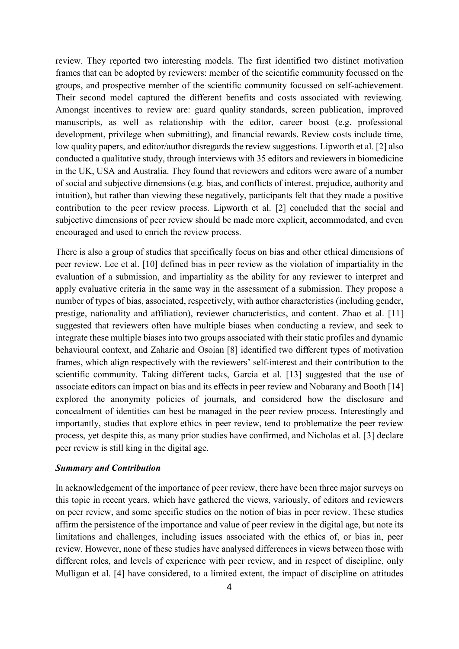review. They reported two interesting models. The first identified two distinct motivation frames that can be adopted by reviewers: member of the scientific community focussed on the groups, and prospective member of the scientific community focussed on self-achievement. Their second model captured the different benefits and costs associated with reviewing. Amongst incentives to review are: guard quality standards, screen publication, improved manuscripts, as well as relationship with the editor, career boost (e.g. professional development, privilege when submitting), and financial rewards. Review costs include time, low quality papers, and editor/author disregards the review suggestions. Lipworth et al. [2] also conducted a qualitative study, through interviews with 35 editors and reviewers in biomedicine in the UK, USA and Australia. They found that reviewers and editors were aware of a number of social and subjective dimensions (e.g. bias, and conflicts of interest, prejudice, authority and intuition), but rather than viewing these negatively, participants felt that they made a positive contribution to the peer review process. Lipworth et al. [2] concluded that the social and subjective dimensions of peer review should be made more explicit, accommodated, and even encouraged and used to enrich the review process.

There is also a group of studies that specifically focus on bias and other ethical dimensions of peer review. Lee et al. [10] defined bias in peer review as the violation of impartiality in the evaluation of a submission, and impartiality as the ability for any reviewer to interpret and apply evaluative criteria in the same way in the assessment of a submission. They propose a number of types of bias, associated, respectively, with author characteristics (including gender, prestige, nationality and affiliation), reviewer characteristics, and content. Zhao et al. [11] suggested that reviewers often have multiple biases when conducting a review, and seek to integrate these multiple biases into two groups associated with their static profiles and dynamic behavioural context, and Zaharie and Osoian [8] identified two different types of motivation frames, which align respectively with the reviewers' self-interest and their contribution to the scientific community. Taking different tacks, Garcia et al. [13] suggested that the use of associate editors can impact on bias and its effects in peer review and Nobarany and Booth [14] explored the anonymity policies of journals, and considered how the disclosure and concealment of identities can best be managed in the peer review process. Interestingly and importantly, studies that explore ethics in peer review, tend to problematize the peer review process, yet despite this, as many prior studies have confirmed, and Nicholas et al. [3] declare peer review is still king in the digital age.

## *Summary and Contribution*

In acknowledgement of the importance of peer review, there have been three major surveys on this topic in recent years, which have gathered the views, variously, of editors and reviewers on peer review, and some specific studies on the notion of bias in peer review. These studies affirm the persistence of the importance and value of peer review in the digital age, but note its limitations and challenges, including issues associated with the ethics of, or bias in, peer review. However, none of these studies have analysed differences in views between those with different roles, and levels of experience with peer review, and in respect of discipline, only Mulligan et al. [4] have considered, to a limited extent, the impact of discipline on attitudes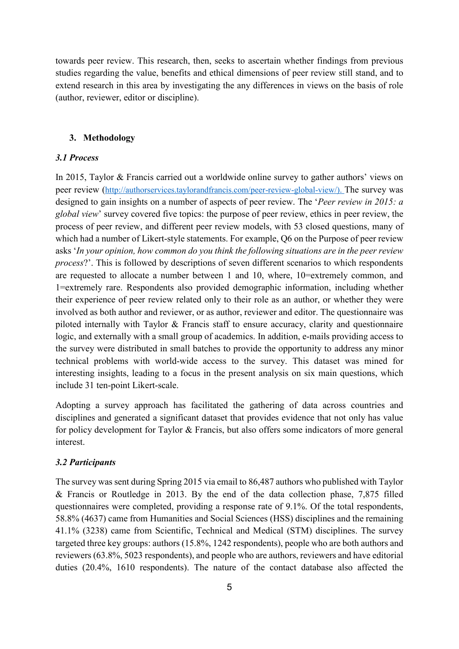towards peer review. This research, then, seeks to ascertain whether findings from previous studies regarding the value, benefits and ethical dimensions of peer review still stand, and to extend research in this area by investigating the any differences in views on the basis of role (author, reviewer, editor or discipline).

#### **3. Methodology**

#### *3.1 Process*

In 2015, Taylor & Francis carried out a worldwide online survey to gather authors' views on peer review ([http://authorservices.taylorandfrancis.com/peer-review-global-view/\)](http://authorservices.taylorandfrancis.com/peer-review-global-view/). The survey was designed to gain insights on a number of aspects of peer review. The '*Peer review in 2015: a global view*' survey covered five topics: the purpose of peer review, ethics in peer review, the process of peer review, and different peer review models, with 53 closed questions, many of which had a number of Likert-style statements. For example, Q6 on the Purpose of peer review asks '*In your opinion, how common do you think the following situations are in the peer review process*?'. This is followed by descriptions of seven different scenarios to which respondents are requested to allocate a number between 1 and 10, where, 10=extremely common, and 1=extremely rare. Respondents also provided demographic information, including whether their experience of peer review related only to their role as an author, or whether they were involved as both author and reviewer, or as author, reviewer and editor. The questionnaire was piloted internally with Taylor & Francis staff to ensure accuracy, clarity and questionnaire logic, and externally with a small group of academics. In addition, e-mails providing access to the survey were distributed in small batches to provide the opportunity to address any minor technical problems with world-wide access to the survey. This dataset was mined for interesting insights, leading to a focus in the present analysis on six main questions, which include 31 ten-point Likert-scale.

Adopting a survey approach has facilitated the gathering of data across countries and disciplines and generated a significant dataset that provides evidence that not only has value for policy development for Taylor & Francis, but also offers some indicators of more general interest.

#### *3.2 Participants*

The survey was sent during Spring 2015 via email to 86,487 authors who published with Taylor & Francis or Routledge in 2013. By the end of the data collection phase, 7,875 filled questionnaires were completed, providing a response rate of 9.1%. Of the total respondents, 58.8% (4637) came from Humanities and Social Sciences (HSS) disciplines and the remaining 41.1% (3238) came from Scientific, Technical and Medical (STM) disciplines. The survey targeted three key groups: authors (15.8%, 1242 respondents), people who are both authors and reviewers (63.8%, 5023 respondents), and people who are authors, reviewers and have editorial duties (20.4%, 1610 respondents). The nature of the contact database also affected the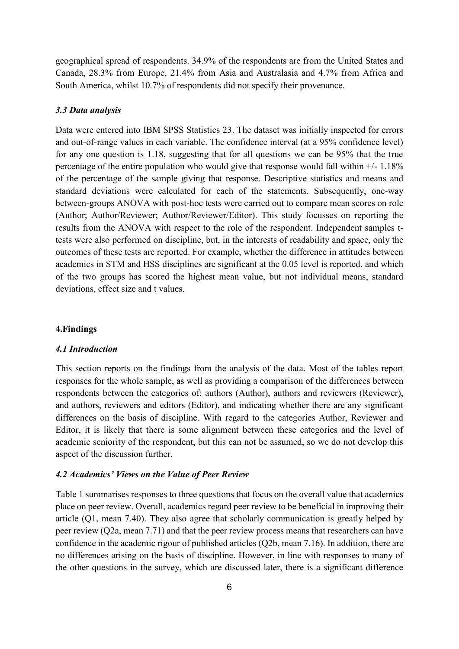geographical spread of respondents. 34.9% of the respondents are from the United States and Canada, 28.3% from Europe, 21.4% from Asia and Australasia and 4.7% from Africa and South America, whilst 10.7% of respondents did not specify their provenance.

#### *3.3 Data analysis*

Data were entered into IBM SPSS Statistics 23. The dataset was initially inspected for errors and out-of-range values in each variable. The confidence interval (at a 95% confidence level) for any one question is 1.18, suggesting that for all questions we can be 95% that the true percentage of the entire population who would give that response would fall within  $+/-1.18\%$ of the percentage of the sample giving that response. Descriptive statistics and means and standard deviations were calculated for each of the statements. Subsequently, one-way between-groups ANOVA with post-hoc tests were carried out to compare mean scores on role (Author; Author/Reviewer; Author/Reviewer/Editor). This study focusses on reporting the results from the ANOVA with respect to the role of the respondent. Independent samples ttests were also performed on discipline, but, in the interests of readability and space, only the outcomes of these tests are reported. For example, whether the difference in attitudes between academics in STM and HSS disciplines are significant at the 0.05 level is reported, and which of the two groups has scored the highest mean value, but not individual means, standard deviations, effect size and t values.

#### **4.Findings**

#### *4.1 Introduction*

This section reports on the findings from the analysis of the data. Most of the tables report responses for the whole sample, as well as providing a comparison of the differences between respondents between the categories of: authors (Author), authors and reviewers (Reviewer), and authors, reviewers and editors (Editor), and indicating whether there are any significant differences on the basis of discipline. With regard to the categories Author, Reviewer and Editor, it is likely that there is some alignment between these categories and the level of academic seniority of the respondent, but this can not be assumed, so we do not develop this aspect of the discussion further.

#### *4.2 Academics' Views on the Value of Peer Review*

Table 1 summarises responses to three questions that focus on the overall value that academics place on peer review. Overall, academics regard peer review to be beneficial in improving their article (Q1, mean 7.40). They also agree that scholarly communication is greatly helped by peer review (Q2a, mean 7.71) and that the peer review process means that researchers can have confidence in the academic rigour of published articles (Q2b, mean 7.16). In addition, there are no differences arising on the basis of discipline. However, in line with responses to many of the other questions in the survey, which are discussed later, there is a significant difference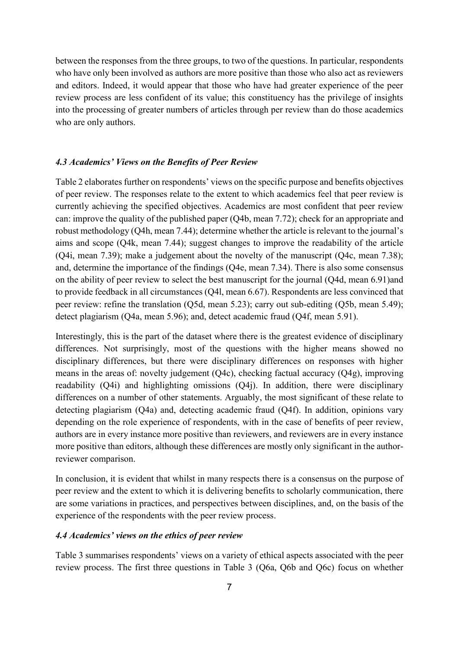between the responses from the three groups, to two of the questions. In particular, respondents who have only been involved as authors are more positive than those who also act as reviewers and editors. Indeed, it would appear that those who have had greater experience of the peer review process are less confident of its value; this constituency has the privilege of insights into the processing of greater numbers of articles through per review than do those academics who are only authors.

#### *4.3 Academics' Views on the Benefits of Peer Review*

Table 2 elaborates further on respondents' views on the specific purpose and benefits objectives of peer review. The responses relate to the extent to which academics feel that peer review is currently achieving the specified objectives. Academics are most confident that peer review can: improve the quality of the published paper (Q4b, mean 7.72); check for an appropriate and robust methodology (Q4h, mean 7.44); determine whether the article is relevant to the journal's aims and scope (Q4k, mean 7.44); suggest changes to improve the readability of the article (Q4i, mean 7.39); make a judgement about the novelty of the manuscript (Q4c, mean 7.38); and, determine the importance of the findings (Q4e, mean 7.34). There is also some consensus on the ability of peer review to select the best manuscript for the journal (Q4d, mean 6.91)and to provide feedback in all circumstances (Q4l, mean 6.67). Respondents are less convinced that peer review: refine the translation (Q5d, mean 5.23); carry out sub-editing (Q5b, mean 5.49); detect plagiarism (Q4a, mean 5.96); and, detect academic fraud (Q4f, mean 5.91).

Interestingly, this is the part of the dataset where there is the greatest evidence of disciplinary differences. Not surprisingly, most of the questions with the higher means showed no disciplinary differences, but there were disciplinary differences on responses with higher means in the areas of: novelty judgement (Q4c), checking factual accuracy (Q4g), improving readability (Q4i) and highlighting omissions (Q4j). In addition, there were disciplinary differences on a number of other statements. Arguably, the most significant of these relate to detecting plagiarism (Q4a) and, detecting academic fraud (Q4f). In addition, opinions vary depending on the role experience of respondents, with in the case of benefits of peer review, authors are in every instance more positive than reviewers, and reviewers are in every instance more positive than editors, although these differences are mostly only significant in the authorreviewer comparison.

In conclusion, it is evident that whilst in many respects there is a consensus on the purpose of peer review and the extent to which it is delivering benefits to scholarly communication, there are some variations in practices, and perspectives between disciplines, and, on the basis of the experience of the respondents with the peer review process.

# *4.4 Academics' views on the ethics of peer review*

Table 3 summarises respondents' views on a variety of ethical aspects associated with the peer review process. The first three questions in Table 3 (Q6a, Q6b and Q6c) focus on whether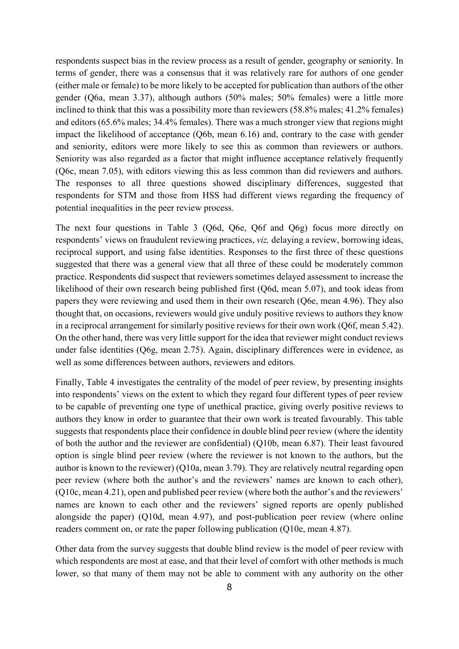respondents suspect bias in the review process as a result of gender, geography or seniority. In terms of gender, there was a consensus that it was relatively rare for authors of one gender (either male or female) to be more likely to be accepted for publication than authors of the other gender (Q6a, mean 3.37), although authors (50% males; 50% females) were a little more inclined to think that this was a possibility more than reviewers (58.8% males; 41.2% females) and editors (65.6% males; 34.4% females). There was a much stronger view that regions might impact the likelihood of acceptance (Q6b, mean 6.16) and, contrary to the case with gender and seniority, editors were more likely to see this as common than reviewers or authors. Seniority was also regarded as a factor that might influence acceptance relatively frequently (Q6c, mean 7.05), with editors viewing this as less common than did reviewers and authors. The responses to all three questions showed disciplinary differences, suggested that respondents for STM and those from HSS had different views regarding the frequency of potential inequalities in the peer review process.

The next four questions in Table 3 (Q6d, Q6e, Q6f and Q6g) focus more directly on respondents' views on fraudulent reviewing practices, *viz,* delaying a review, borrowing ideas, reciprocal support, and using false identities. Responses to the first three of these questions suggested that there was a general view that all three of these could be moderately common practice. Respondents did suspect that reviewers sometimes delayed assessment to increase the likelihood of their own research being published first (Q6d, mean 5.07), and took ideas from papers they were reviewing and used them in their own research (Q6e, mean 4.96). They also thought that, on occasions, reviewers would give unduly positive reviews to authors they know in a reciprocal arrangement for similarly positive reviews for their own work (Q6f, mean 5.42). On the other hand, there was very little support for the idea that reviewer might conduct reviews under false identities (Q6g, mean 2.75). Again, disciplinary differences were in evidence, as well as some differences between authors, reviewers and editors.

Finally, Table 4 investigates the centrality of the model of peer review, by presenting insights into respondents' views on the extent to which they regard four different types of peer review to be capable of preventing one type of unethical practice, giving overly positive reviews to authors they know in order to guarantee that their own work is treated favourably. This table suggests that respondents place their confidence in double blind peer review (where the identity of both the author and the reviewer are confidential) (Q10b, mean 6.87). Their least favoured option is single blind peer review (where the reviewer is not known to the authors, but the author is known to the reviewer) (Q10a, mean 3.79). They are relatively neutral regarding open peer review (where both the author's and the reviewers' names are known to each other), (Q10c, mean 4.21), open and published peer review (where both the author's and the reviewers' names are known to each other and the reviewers' signed reports are openly published alongside the paper) (Q10d, mean 4.97), and post-publication peer review (where online readers comment on, or rate the paper following publication (Q10e, mean 4.87).

Other data from the survey suggests that double blind review is the model of peer review with which respondents are most at ease, and that their level of comfort with other methods is much lower, so that many of them may not be able to comment with any authority on the other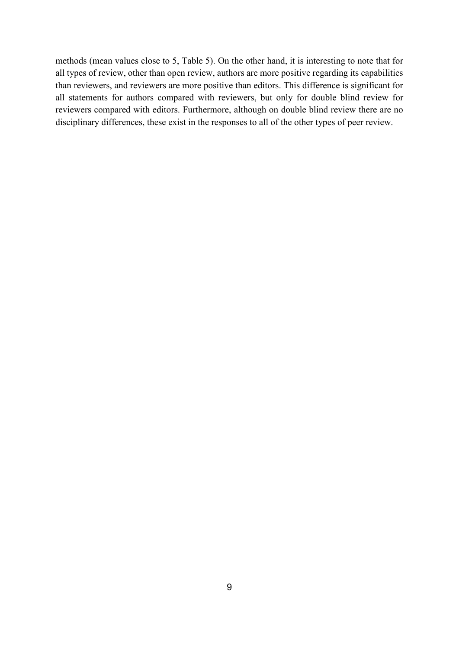methods (mean values close to 5, Table 5). On the other hand, it is interesting to note that for all types of review, other than open review, authors are more positive regarding its capabilities than reviewers, and reviewers are more positive than editors. This difference is significant for all statements for authors compared with reviewers, but only for double blind review for reviewers compared with editors. Furthermore, although on double blind review there are no disciplinary differences, these exist in the responses to all of the other types of peer review.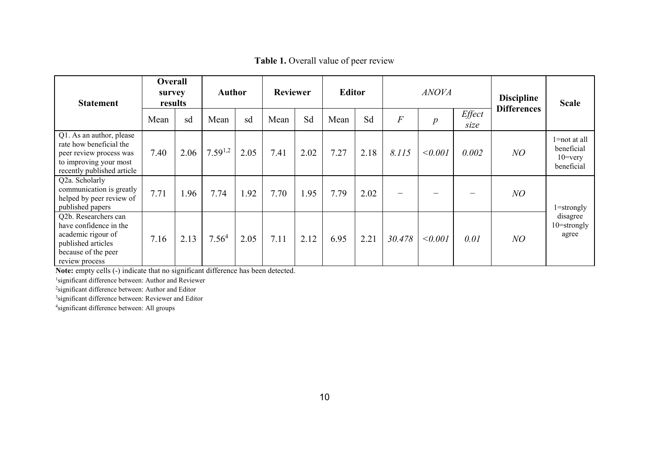| <b>Statement</b>                                                                                                                       | Overall<br>survey<br>results |      | <b>Author</b>     |      | <b>Reviewer</b> |      | <b>Editor</b> |      | <b>ANOVA</b> |                  |                | <b>Discipline</b><br><b>Differences</b> | <b>Scale</b>                                                   |
|----------------------------------------------------------------------------------------------------------------------------------------|------------------------------|------|-------------------|------|-----------------|------|---------------|------|--------------|------------------|----------------|-----------------------------------------|----------------------------------------------------------------|
|                                                                                                                                        | Mean                         | sd   | Mean              | sd   | Mean            | Sd   | Mean          | Sd   | $\cal F$     | $\boldsymbol{p}$ | Effect<br>size |                                         |                                                                |
| Q1. As an author, please<br>rate how beneficial the<br>peer review process was<br>to improving your most<br>recently published article | 7.40                         | 2.06 | $7.59^{1,2}$      | 2.05 | 7.41            | 2.02 | 7.27          | 2.18 | 8.115        | < 0.001          | 0.002          | NO                                      | 1=not at all<br>beneficial<br>$10 = \text{very}$<br>beneficial |
| Q2a. Scholarly<br>communication is greatly<br>helped by peer review of<br>published papers                                             | 7.71                         | 1.96 | 7.74              | 1.92 | 7.70            | 1.95 | 7.79          | 2.02 |              |                  |                | NO                                      | $=$ strongly                                                   |
| Q2b. Researchers can<br>have confidence in the<br>academic rigour of<br>published articles<br>because of the peer<br>review process    | 7.16                         | 2.13 | 7.56 <sup>4</sup> | 2.05 | 7.11            | 2.12 | 6.95          | 2.21 | 30.478       | < 0.001          | 0.01           | NO                                      | disagree<br>$10$ =strongly<br>agree                            |

**Table 1.** Overall value of peer review

**Note:** empty cells (-) indicate that no significant difference has been detected.

<sup>1</sup>significant difference between: Author and Reviewer

<sup>2</sup>significant difference between: Author and Editor

<sup>3</sup>significant difference between: Reviewer and Editor

4 significant difference between: All groups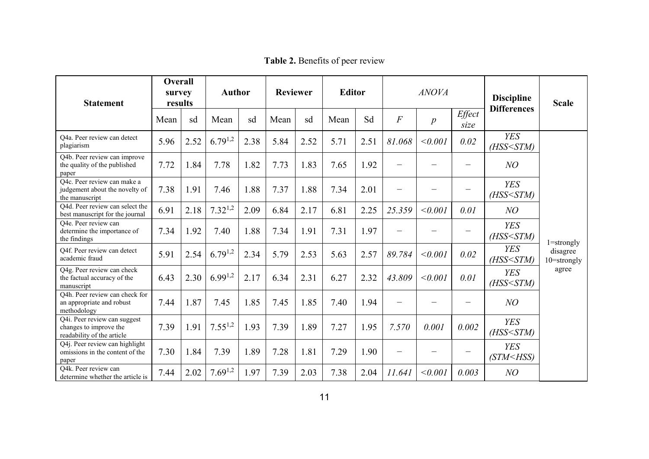| <b>Statement</b>                                                                             | <b>Overall</b><br>survey<br>results | <b>Author</b> |              |      | <b>Reviewer</b> |      | <b>Editor</b> |      | <b>ANOVA</b>             |                  |                          | <b>Discipline</b><br><b>Differences</b> | <b>Scale</b>               |
|----------------------------------------------------------------------------------------------|-------------------------------------|---------------|--------------|------|-----------------|------|---------------|------|--------------------------|------------------|--------------------------|-----------------------------------------|----------------------------|
|                                                                                              | Mean                                | sd            | Mean         | sd   | Mean            | sd   | Mean          | Sd   | $\overline{F}$           | $\boldsymbol{p}$ | Effect<br>size           |                                         |                            |
| Q4a. Peer review can detect<br>plagiarism                                                    | 5.96                                | 2.52          | $6.79^{1,2}$ | 2.38 | 5.84            | 2.52 | 5.71          | 2.51 | 81.068                   | < 0.001          | 0.02                     | <b>YES</b><br>(HSS < STM)               |                            |
| Q4b. Peer review can improve<br>the quality of the published<br>paper                        | 7.72                                | 1.84          | 7.78         | 1.82 | 7.73            | 1.83 | 7.65          | 1.92 |                          |                  | $\overline{\phantom{0}}$ | NO                                      |                            |
| O <sub>4c</sub> . Peer review can make a<br>judgement about the novelty of<br>the manuscript | 7.38                                | 1.91          | 7.46         | 1.88 | 7.37            | 1.88 | 7.34          | 2.01 |                          |                  |                          | <b>YES</b><br>(HSS < STM)               |                            |
| Q4d. Peer review can select the<br>best manuscript for the journal                           | 6.91                                | 2.18          | $7.32^{1,2}$ | 2.09 | 6.84            | 2.17 | 6.81          | 2.25 | 25.359                   | < 0.001          | 0.01                     | NO                                      |                            |
| O <sub>4</sub> e. Peer review can<br>determine the importance of<br>the findings             | 7.34                                | 1.92          | 7.40         | 1.88 | 7.34            | 1.91 | 7.31          | 1.97 |                          |                  |                          | <b>YES</b><br>(HSS < STM)               | $1 =$ strongly             |
| O4f. Peer review can detect<br>academic fraud                                                | 5.91                                | 2.54          | $6.79^{1,2}$ | 2.34 | 5.79            | 2.53 | 5.63          | 2.57 | 89.784                   | < 0.001          | 0.02                     | <b>YES</b><br>(HSS < STM)               | disagree<br>$10$ =strongly |
| Q4g. Peer review can check<br>the factual accuracy of the<br>manuscript                      | 6.43                                | 2.30          | $6.99^{1,2}$ | 2.17 | 6.34            | 2.31 | 6.27          | 2.32 | 43.809                   | < 0.001          | 0.01                     | <b>YES</b><br>(HSS < STM)               | agree                      |
| Q4h. Peer review can check for<br>an appropriate and robust<br>methodology                   | 7.44                                | 1.87          | 7.45         | 1.85 | 7.45            | 1.85 | 7.40          | 1.94 |                          |                  | -                        | NO                                      |                            |
| Q4i. Peer review can suggest<br>changes to improve the<br>readability of the article         | 7.39                                | 1.91          | $7.55^{1,2}$ | 1.93 | 7.39            | 1.89 | 7.27          | 1.95 | 7.570                    | 0.001            | 0.002                    | <b>YES</b><br>(HSS < STM)               |                            |
| Q4j. Peer review can highlight<br>omissions in the content of the<br>paper                   | 7.30                                | 1.84          | 7.39         | 1.89 | 7.28            | 1.81 | 7.29          | 1.90 | $\overline{\phantom{0}}$ |                  |                          | <b>YES</b><br>(STM < HSS)               |                            |
| O4k. Peer review can<br>determine whether the article is                                     | 7.44                                | 2.02          | $7.69^{1,2}$ | 1.97 | 7.39            | 2.03 | 7.38          | 2.04 | 11.641                   | < 0.001          | 0.003                    | NO                                      |                            |

**Table 2.** Benefits of peer review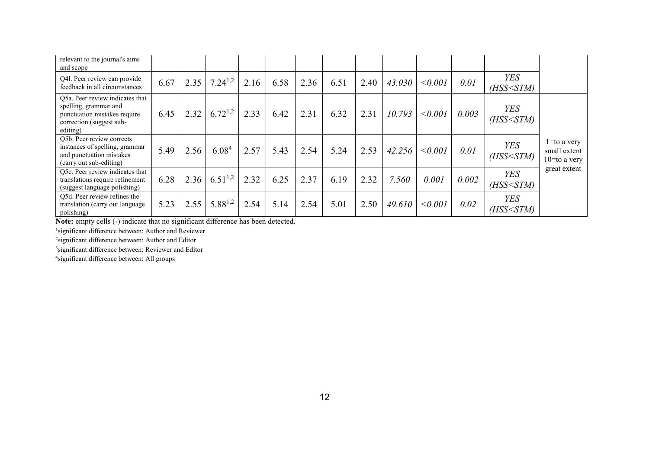| relevant to the journal's aims<br>and scope                                                                                      |      |      |                   |      |      |      |      |      |        |         |       |                                                   |                                                    |
|----------------------------------------------------------------------------------------------------------------------------------|------|------|-------------------|------|------|------|------|------|--------|---------|-------|---------------------------------------------------|----------------------------------------------------|
| Q41. Peer review can provide<br>feedback in all circumstances                                                                    | 6.67 | 2.35 | $7.24^{1,2}$      | 2.16 | 6.58 | 2.36 | 6.51 | 2.40 | 43.030 | < 0.001 | 0.01  | YES<br>(HSS < STM)                                |                                                    |
| Q5a. Peer review indicates that<br>spelling, grammar and<br>punctuation mistakes require<br>correction (suggest sub-<br>editing) | 6.45 | 2.32 | $6.72^{1,2}$      | 2.33 | 6.42 | 2.31 | 6.32 | 2.31 | 10.793 | < 0.001 | 0.003 | YES<br>(HSS < STM)                                |                                                    |
| Q5b. Peer review corrects<br>instances of spelling, grammar<br>and punctuation mistakes<br>(carry out sub-editing)               | 5.49 | 2.56 | 6.08 <sup>4</sup> | 2.57 | 5.43 | 2.54 | 5.24 | 2.53 | 42.256 | < 0.001 | 0.01  | <b>YES</b><br>(HSS < STM)                         | $1 =$ to a very<br>small extent<br>$10$ =to a very |
| Q5c. Peer review indicates that<br>translations require refinement<br>(suggest language polishing)                               | 6.28 | 2.36 | $6.51^{1,2}$      | 2.32 | 6.25 | 2.37 | 6.19 | 2.32 | 7.560  | 0.001   | 0.002 | YES<br>(HSS < STM)                                | great extent                                       |
| Q5d. Peer review refines the<br>translation (carry out language)<br>polishing)                                                   | 5.23 | 2.55 | $5.88^{1,2}$      | 2.54 | 5.14 | 2.54 | 5.01 | 2.50 | 49.610 | < 0.001 | 0.02  | <b>YES</b><br>(HSS <stm)< td=""><td></td></stm)<> |                                                    |

**Note:** empty cells (-) indicate that no significant difference has been detected.

<sup>1</sup>significant difference between: Author and Reviewer

<sup>2</sup>significant difference between: Author and Editor

<sup>3</sup>significant difference between: Reviewer and Editor

4 significant difference between: All groups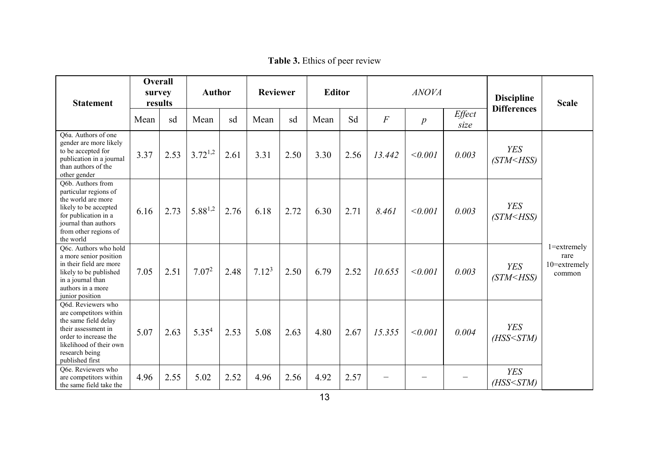**Statement Overall survey results Author Reviewer Editor** *ANOVA* **Discipline Discipline**<br>**Differences** Scale Mean | sd | Mean | sd | Mean | sd | Mean | Sd | F | p *Effect size* Q6a. Authors of one gender are more likely to be accepted for publication in a journal than authors of the other gender 3.37 2.53 3.721,2 2.61 3.31 2.50 3.30 2.56 *13.442 <0.001 0.003 YES (STM<HSS)* 1=extremely rare 10=extremely common Q6b. Authors from particular regions of the world are more likely to be accepted for publication in a journal than authors from other regions of the world  $6.16$  | 2.73 |  $5.88^{1,2}$  | 2.76 |  $6.18$  | 2.72 |  $6.30$  | 2.71 |  $8.461$  |  $<sub>0.001</sub>$  |  $0.003$  |  $\frac{YES}{STMCI}$ </sub> *(STM<HSS)* Q6c. Authors who hold a more senior position in their field are more likely to be published in a journal than authors in a more junior position 7.05 2.51 7.07<sup>2</sup> 2.48 7.12<sup>3</sup>  $2.50$  6.79  $2.52$   $10.655$   $\leq 0.001$  0.003  $\frac{YES}{\sqrt{STM}}$ *(STM<HSS)* Q6d. Reviewers who are competitors within the same field delay their assessment in order to increase the likelihood of their own research being published first  $5.07$  2.63 5.35<sup>4</sup> 2.53 5.08 2.63 4.80 2.67 *15.355 <0.001 0.004 YES (HSS<STM)* Q6e. Reviewers who are competitors within the same field take the 4.96 2.55 5.02 2.52 4.96 2.56 4.92 2.57 *− − − YES (HSS<STM)*

**Table 3.** Ethics of peer review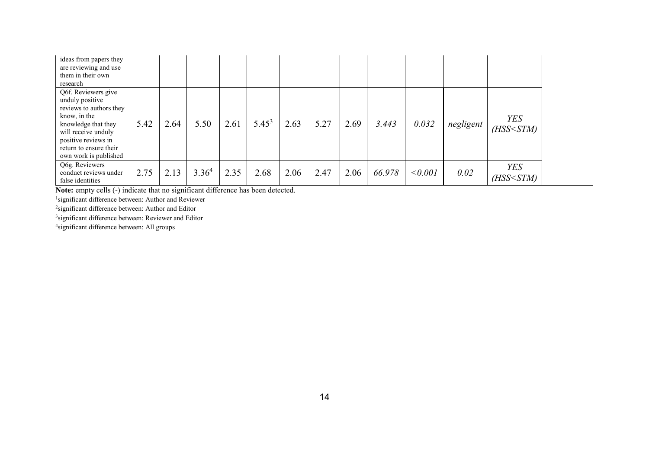| ideas from papers they<br>are reviewing and use<br>them in their own<br>research                                                                                                                          |      |      |                   |      |            |      |      |      |        |         |           |                                          |
|-----------------------------------------------------------------------------------------------------------------------------------------------------------------------------------------------------------|------|------|-------------------|------|------------|------|------|------|--------|---------|-----------|------------------------------------------|
| Q6f. Reviewers give<br>unduly positive<br>reviews to authors they<br>know, in the<br>knowledge that they<br>will receive unduly<br>positive reviews in<br>return to ensure their<br>own work is published | 5.42 | 2.64 | 5.50              | 2.61 | $5.45^{3}$ | 2.63 | 5.27 | 2.69 | 3.443  | 0.032   | negligent | <b>YES</b><br>(HSS < STM)                |
| Q6g. Reviewers<br>conduct reviews under<br>false identities                                                                                                                                               | 2.75 | 2.13 | 3.36 <sup>4</sup> | 2.35 | 2.68       | 2.06 | 2.47 | 2.06 | 66.978 | < 0.001 | 0.02      | <b>YES</b><br>(HSS <stm)< td=""></stm)<> |

**Note:** empty cells (-) indicate that no significant difference has been detected.

<sup>1</sup>significant difference between: Author and Reviewer

<sup>2</sup>significant difference between: Author and Editor

<sup>3</sup>significant difference between: Reviewer and Editor

4 significant difference between: All groups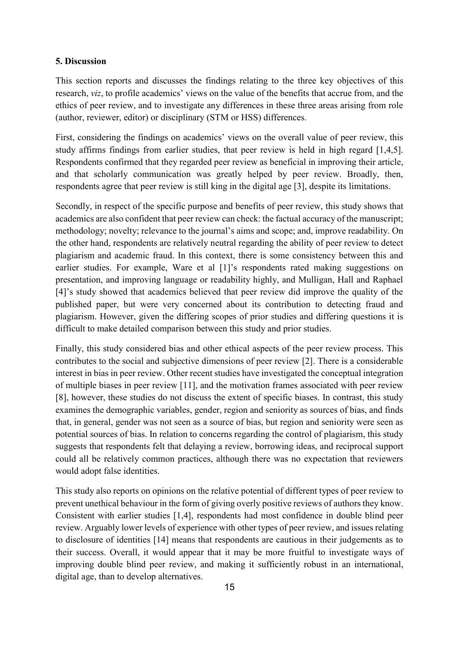#### **5. Discussion**

This section reports and discusses the findings relating to the three key objectives of this research, *viz*, to profile academics' views on the value of the benefits that accrue from, and the ethics of peer review, and to investigate any differences in these three areas arising from role (author, reviewer, editor) or disciplinary (STM or HSS) differences.

First, considering the findings on academics' views on the overall value of peer review, this study affirms findings from earlier studies, that peer review is held in high regard [1,4,5]. Respondents confirmed that they regarded peer review as beneficial in improving their article, and that scholarly communication was greatly helped by peer review. Broadly, then, respondents agree that peer review is still king in the digital age [3], despite its limitations.

Secondly, in respect of the specific purpose and benefits of peer review, this study shows that academics are also confident that peer review can check: the factual accuracy of the manuscript; methodology; novelty; relevance to the journal's aims and scope; and, improve readability. On the other hand, respondents are relatively neutral regarding the ability of peer review to detect plagiarism and academic fraud. In this context, there is some consistency between this and earlier studies. For example, Ware et al [1]'s respondents rated making suggestions on presentation, and improving language or readability highly, and Mulligan, Hall and Raphael [4]'s study showed that academics believed that peer review did improve the quality of the published paper, but were very concerned about its contribution to detecting fraud and plagiarism. However, given the differing scopes of prior studies and differing questions it is difficult to make detailed comparison between this study and prior studies.

Finally, this study considered bias and other ethical aspects of the peer review process. This contributes to the social and subjective dimensions of peer review [2]. There is a considerable interest in bias in peer review. Other recent studies have investigated the conceptual integration of multiple biases in peer review [11], and the motivation frames associated with peer review [8], however, these studies do not discuss the extent of specific biases. In contrast, this study examines the demographic variables, gender, region and seniority as sources of bias, and finds that, in general, gender was not seen as a source of bias, but region and seniority were seen as potential sources of bias. In relation to concerns regarding the control of plagiarism, this study suggests that respondents felt that delaying a review, borrowing ideas, and reciprocal support could all be relatively common practices, although there was no expectation that reviewers would adopt false identities.

This study also reports on opinions on the relative potential of different types of peer review to prevent unethical behaviour in the form of giving overly positive reviews of authors they know. Consistent with earlier studies [1,4], respondents had most confidence in double blind peer review. Arguably lower levels of experience with other types of peer review, and issues relating to disclosure of identities [14] means that respondents are cautious in their judgements as to their success. Overall, it would appear that it may be more fruitful to investigate ways of improving double blind peer review, and making it sufficiently robust in an international, digital age, than to develop alternatives.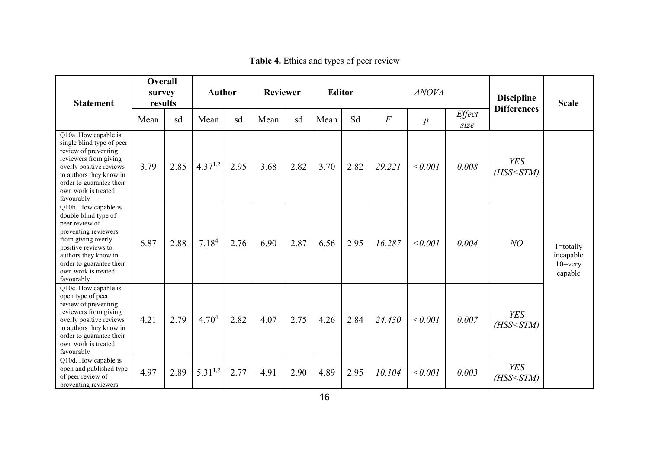| <b>Statement</b>                                                                                                                                                                                                             | <b>Overall</b><br>survey<br>results |      | <b>Author</b>     |      | <b>Reviewer</b> |      | <b>Editor</b> |      | <b>ANOVA</b> |                  |                | <b>Discipline</b><br><b>Differences</b> | <b>Scale</b>                                                |
|------------------------------------------------------------------------------------------------------------------------------------------------------------------------------------------------------------------------------|-------------------------------------|------|-------------------|------|-----------------|------|---------------|------|--------------|------------------|----------------|-----------------------------------------|-------------------------------------------------------------|
|                                                                                                                                                                                                                              | Mean                                | sd   | Mean              | sd   | Mean            | sd   | Mean          | Sd   | $\cal F$     | $\boldsymbol{p}$ | Effect<br>size |                                         |                                                             |
| Q10a. How capable is<br>single blind type of peer<br>review of preventing<br>reviewers from giving<br>overly positive reviews<br>to authors they know in<br>order to guarantee their<br>own work is treated<br>favourably    | 3.79                                | 2.85 | $4.37^{1,2}$      | 2.95 | 3.68            | 2.82 | 3.70          | 2.82 | 29.221       | < 0.001          | 0.008          | <b>YES</b><br>(HSS < STM)               |                                                             |
| Q10b. How capable is<br>double blind type of<br>peer review of<br>preventing reviewers<br>from giving overly<br>positive reviews to<br>authors they know in<br>order to guarantee their<br>own work is treated<br>favourably | 6.87                                | 2.88 | 7.18 <sup>4</sup> | 2.76 | 6.90            | 2.87 | 6.56          | 2.95 | 16.287       | < 0.001          | 0.004          | NO                                      | $1 = totally$<br>incapable<br>$10 = \text{very}$<br>capable |
| Q10c. How capable is<br>open type of peer<br>review of preventing<br>reviewers from giving<br>overly positive reviews<br>to authors they know in<br>order to guarantee their<br>own work is treated<br>favourably            | 4.21                                | 2.79 | $4.70^{4}$        | 2.82 | 4.07            | 2.75 | 4.26          | 2.84 | 24.430       | < 0.001          | 0.007          | <b>YES</b><br>(HSS < STM)               |                                                             |
| Q10d. How capable is<br>open and published type<br>of peer review of<br>preventing reviewers                                                                                                                                 | 4.97                                | 2.89 | $5.31^{1,2}$      | 2.77 | 4.91            | 2.90 | 4.89          | 2.95 | 10.104       | < 0.001          | 0.003          | <b>YES</b><br>(HSS < STM)               |                                                             |

**Table 4.** Ethics and types of peer review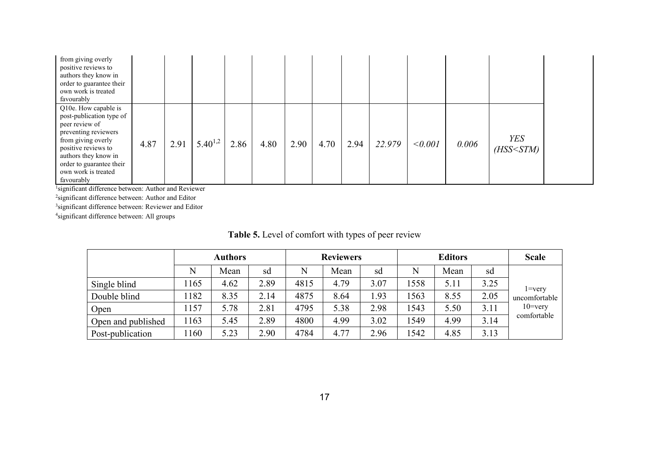| from giving overly<br>positive reviews to<br>authors they know in<br>order to guarantee their<br>own work is treated<br>favourably                                                                                               |      |      |              |      |      |      |      |      |        |         |       |                           |  |
|----------------------------------------------------------------------------------------------------------------------------------------------------------------------------------------------------------------------------------|------|------|--------------|------|------|------|------|------|--------|---------|-------|---------------------------|--|
| Q10e. How capable is<br>post-publication type of<br>peer review of<br>preventing reviewers<br>from giving overly<br>positive reviews to<br>authors they know in<br>order to guarantee their<br>own work is treated<br>favourably | 4.87 | 2.91 | $5.40^{1,2}$ | 2.86 | 4.80 | 2.90 | 4.70 | 2.94 | 22.979 | < 0.001 | 0.006 | <b>YES</b><br>(HSS < STM) |  |
| <sup>1</sup> significant difference between: Author and Reviewer                                                                                                                                                                 |      |      |              |      |      |      |      |      |        |         |       |                           |  |

<sup>2</sup>significant difference between: Author and Editor

<sup>3</sup>significant difference between: Reviewer and Editor

4 significant difference between: All groups

|                    | <b>Authors</b> |      |      |      | <b>Reviewers</b> |      |      | <b>Scale</b> |      |               |
|--------------------|----------------|------|------|------|------------------|------|------|--------------|------|---------------|
|                    | N              | Mean | sd   | N    | Mean             | sd   | N    | Mean         | sd   |               |
| Single blind       | 165            | 4.62 | 2.89 | 4815 | 4.79             | 3.07 | 1558 | 5.11         | 3.25 | $l = v$ erv   |
| Double blind       | 182            | 8.35 | 2.14 | 4875 | 8.64             | 1.93 | 1563 | 8.55         | 2.05 | uncomfortable |
| Open               | 157            | 5.78 | 2.81 | 4795 | 5.38             | 2.98 | 1543 | 5.50         | 3.11 | $10 =$ very   |
| Open and published | 163            | 5.45 | 2.89 | 4800 | 4.99             | 3.02 | 1549 | 4.99         | 3.14 | comfortable   |
| Post-publication   | 160            | 5.23 | 2.90 | 4784 | 4.77             | 2.96 | 1542 | 4.85         | 3.13 |               |

# **Table 5.** Level of comfort with types of peer review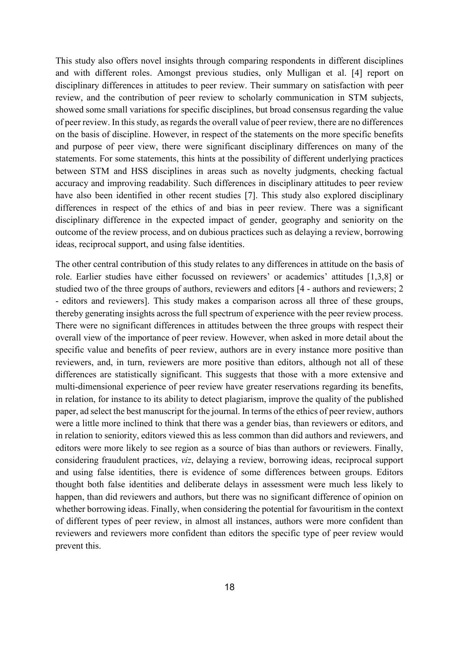This study also offers novel insights through comparing respondents in different disciplines and with different roles. Amongst previous studies, only Mulligan et al. [4] report on disciplinary differences in attitudes to peer review. Their summary on satisfaction with peer review, and the contribution of peer review to scholarly communication in STM subjects, showed some small variations for specific disciplines, but broad consensus regarding the value of peer review. In this study, as regards the overall value of peer review, there are no differences on the basis of discipline. However, in respect of the statements on the more specific benefits and purpose of peer view, there were significant disciplinary differences on many of the statements. For some statements, this hints at the possibility of different underlying practices between STM and HSS disciplines in areas such as novelty judgments, checking factual accuracy and improving readability. Such differences in disciplinary attitudes to peer review have also been identified in other recent studies [7]. This study also explored disciplinary differences in respect of the ethics of and bias in peer review. There was a significant disciplinary difference in the expected impact of gender, geography and seniority on the outcome of the review process, and on dubious practices such as delaying a review, borrowing ideas, reciprocal support, and using false identities.

The other central contribution of this study relates to any differences in attitude on the basis of role. Earlier studies have either focussed on reviewers' or academics' attitudes [1,3,8] or studied two of the three groups of authors, reviewers and editors [4 - authors and reviewers; 2 - editors and reviewers]. This study makes a comparison across all three of these groups, thereby generating insights across the full spectrum of experience with the peer review process. There were no significant differences in attitudes between the three groups with respect their overall view of the importance of peer review. However, when asked in more detail about the specific value and benefits of peer review, authors are in every instance more positive than reviewers, and, in turn, reviewers are more positive than editors, although not all of these differences are statistically significant. This suggests that those with a more extensive and multi-dimensional experience of peer review have greater reservations regarding its benefits, in relation, for instance to its ability to detect plagiarism, improve the quality of the published paper, ad select the best manuscript for the journal. In terms of the ethics of peer review, authors were a little more inclined to think that there was a gender bias, than reviewers or editors, and in relation to seniority, editors viewed this as less common than did authors and reviewers, and editors were more likely to see region as a source of bias than authors or reviewers. Finally, considering fraudulent practices, *viz*, delaying a review, borrowing ideas, reciprocal support and using false identities, there is evidence of some differences between groups. Editors thought both false identities and deliberate delays in assessment were much less likely to happen, than did reviewers and authors, but there was no significant difference of opinion on whether borrowing ideas. Finally, when considering the potential for favouritism in the context of different types of peer review, in almost all instances, authors were more confident than reviewers and reviewers more confident than editors the specific type of peer review would prevent this.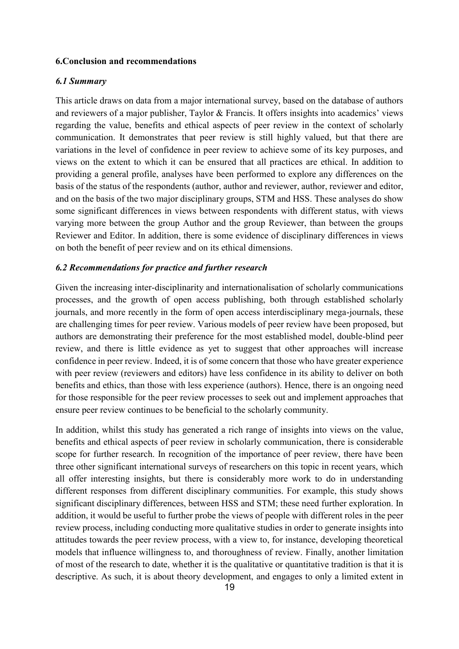#### **6.Conclusion and recommendations**

#### *6.1 Summary*

This article draws on data from a major international survey, based on the database of authors and reviewers of a major publisher, Taylor & Francis. It offers insights into academics' views regarding the value, benefits and ethical aspects of peer review in the context of scholarly communication. It demonstrates that peer review is still highly valued, but that there are variations in the level of confidence in peer review to achieve some of its key purposes, and views on the extent to which it can be ensured that all practices are ethical. In addition to providing a general profile, analyses have been performed to explore any differences on the basis of the status of the respondents (author, author and reviewer, author, reviewer and editor, and on the basis of the two major disciplinary groups, STM and HSS. These analyses do show some significant differences in views between respondents with different status, with views varying more between the group Author and the group Reviewer, than between the groups Reviewer and Editor. In addition, there is some evidence of disciplinary differences in views on both the benefit of peer review and on its ethical dimensions.

#### *6.2 Recommendations for practice and further research*

Given the increasing inter-disciplinarity and internationalisation of scholarly communications processes, and the growth of open access publishing, both through established scholarly journals, and more recently in the form of open access interdisciplinary mega-journals, these are challenging times for peer review. Various models of peer review have been proposed, but authors are demonstrating their preference for the most established model, double-blind peer review, and there is little evidence as yet to suggest that other approaches will increase confidence in peer review. Indeed, it is of some concern that those who have greater experience with peer review (reviewers and editors) have less confidence in its ability to deliver on both benefits and ethics, than those with less experience (authors). Hence, there is an ongoing need for those responsible for the peer review processes to seek out and implement approaches that ensure peer review continues to be beneficial to the scholarly community.

In addition, whilst this study has generated a rich range of insights into views on the value, benefits and ethical aspects of peer review in scholarly communication, there is considerable scope for further research. In recognition of the importance of peer review, there have been three other significant international surveys of researchers on this topic in recent years, which all offer interesting insights, but there is considerably more work to do in understanding different responses from different disciplinary communities. For example, this study shows significant disciplinary differences, between HSS and STM; these need further exploration. In addition, it would be useful to further probe the views of people with different roles in the peer review process, including conducting more qualitative studies in order to generate insights into attitudes towards the peer review process, with a view to, for instance, developing theoretical models that influence willingness to, and thoroughness of review. Finally, another limitation of most of the research to date, whether it is the qualitative or quantitative tradition is that it is descriptive. As such, it is about theory development, and engages to only a limited extent in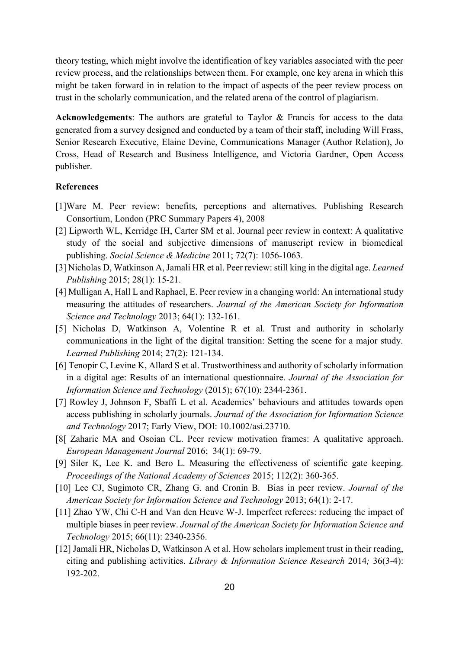theory testing, which might involve the identification of key variables associated with the peer review process, and the relationships between them. For example, one key arena in which this might be taken forward in in relation to the impact of aspects of the peer review process on trust in the scholarly communication, and the related arena of the control of plagiarism.

**Acknowledgements**: The authors are grateful to Taylor & Francis for access to the data generated from a survey designed and conducted by a team of their staff, including Will Frass, Senior Research Executive, Elaine Devine, Communications Manager (Author Relation), Jo Cross, Head of Research and Business Intelligence, and Victoria Gardner, Open Access publisher.

#### **References**

- [1]Ware M. Peer review: benefits, perceptions and alternatives. Publishing Research Consortium, London (PRC Summary Papers 4), 2008
- [2] Lipworth WL, Kerridge IH, Carter SM et al. Journal peer review in context: A qualitative study of the social and subjective dimensions of manuscript review in biomedical publishing. *Social Science & Medicine* 2011; 72(7): 1056-1063.
- [3] Nicholas D, Watkinson A, Jamali HR et al. Peer review: still king in the digital age. *Learned Publishing* 2015; 28(1): 15-21.
- [4] Mulligan A, Hall L and Raphael, E. Peer review in a changing world: An international study measuring the attitudes of researchers. *Journal of the American Society for Information Science and Technology* 2013; 64(1): 132-161.
- [5] Nicholas D, Watkinson A, Volentine R et al. Trust and authority in scholarly communications in the light of the digital transition: Setting the scene for a major study. *Learned Publishing* 2014; 27(2): 121-134.
- [6] Tenopir C, Levine K, Allard S et al. Trustworthiness and authority of scholarly information in a digital age: Results of an international questionnaire. *Journal of the Association for Information Science and Technology* (2015); 67(10): 2344-2361.
- [7] Rowley J, Johnson F, Sbaffi L et al. Academics' behaviours and attitudes towards open access publishing in scholarly journals. *Journal of the Association for Information Science and Technology* 2017; Early View, DOI: 10.1002/asi.23710.
- [8[ Zaharie MA and Osoian CL. Peer review motivation frames: A qualitative approach. *European Management Journal* 2016; 34(1): 69-79.
- [9] Siler K, Lee K. and Bero L. Measuring the effectiveness of scientific gate keeping. *Proceedings of the National Academy of Sciences* 2015; 112(2): 360-365.
- [10] Lee CJ, Sugimoto CR, Zhang G. and Cronin B. Bias in peer review. *Journal of the American Society for Information Science and Technology* 2013; 64(1): 2-17.
- [11] Zhao YW, Chi C-H and Van den Heuve W-J. Imperfect referees: reducing the impact of multiple biases in peer review. *Journal of the American Society for Information Science and Technology* 2015; 66(11): 2340-2356.
- [12] Jamali HR, Nicholas D, Watkinson A et al. How scholars implement trust in their reading, citing and publishing activities. *Library & Information Science Research* 2014*;* 36(3-4): 192-202.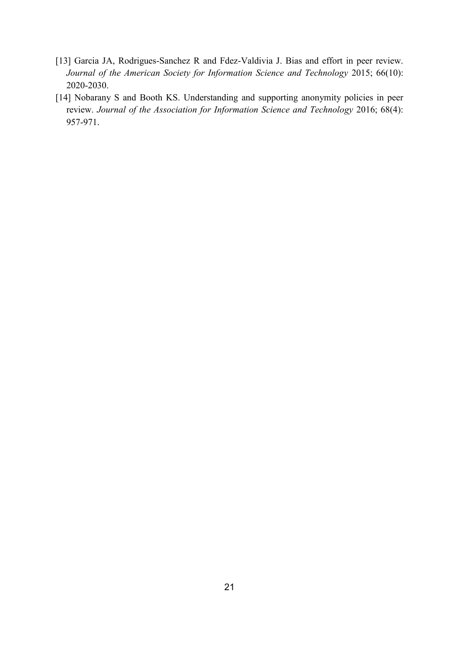- [13] Garcia JA, Rodrigues-Sanchez R and Fdez-Valdivia J. Bias and effort in peer review. *Journal of the American Society for Information Science and Technology* 2015; 66(10): 2020-2030.
- [14] Nobarany S and Booth KS. Understanding and supporting anonymity policies in peer review. *Journal of the Association for Information Science and Technology* 2016; 68(4): 957-971.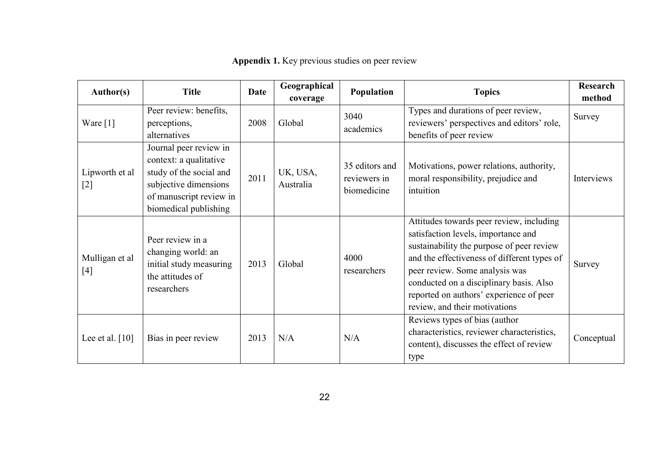| Author(s)                           | <b>Title</b>                                                                                                                                             | Date | Geographical<br>coverage | Population                                    | <b>Topics</b>                                                                                                                                                                                                                                                                                                                        | Research<br>method |
|-------------------------------------|----------------------------------------------------------------------------------------------------------------------------------------------------------|------|--------------------------|-----------------------------------------------|--------------------------------------------------------------------------------------------------------------------------------------------------------------------------------------------------------------------------------------------------------------------------------------------------------------------------------------|--------------------|
| Ware $[1]$                          | Peer review: benefits,<br>perceptions,<br>alternatives                                                                                                   | 2008 | Global                   | 3040<br>academics                             | Types and durations of peer review,<br>reviewers' perspectives and editors' role,<br>benefits of peer review                                                                                                                                                                                                                         | Survey             |
| Lipworth et al<br>$\lceil 2 \rceil$ | Journal peer review in<br>context: a qualitative<br>study of the social and<br>subjective dimensions<br>of manuscript review in<br>biomedical publishing | 2011 | UK, USA,<br>Australia    | 35 editors and<br>reviewers in<br>biomedicine | Motivations, power relations, authority,<br>moral responsibility, prejudice and<br>intuition                                                                                                                                                                                                                                         | Interviews         |
| Mulligan et al<br>$[4]$             | Peer review in a<br>changing world: an<br>initial study measuring<br>the attitudes of<br>researchers                                                     | 2013 | Global                   | 4000<br>researchers                           | Attitudes towards peer review, including<br>satisfaction levels, importance and<br>sustainability the purpose of peer review<br>and the effectiveness of different types of<br>peer review. Some analysis was<br>conducted on a disciplinary basis. Also<br>reported on authors' experience of peer<br>review, and their motivations | Survey             |
| Lee et al. $[10]$                   | Bias in peer review                                                                                                                                      | 2013 | N/A                      | N/A                                           | Reviews types of bias (author<br>characteristics, reviewer characteristics,<br>content), discusses the effect of review<br>type                                                                                                                                                                                                      | Conceptual         |

**Appendix 1.** Key previous studies on peer review